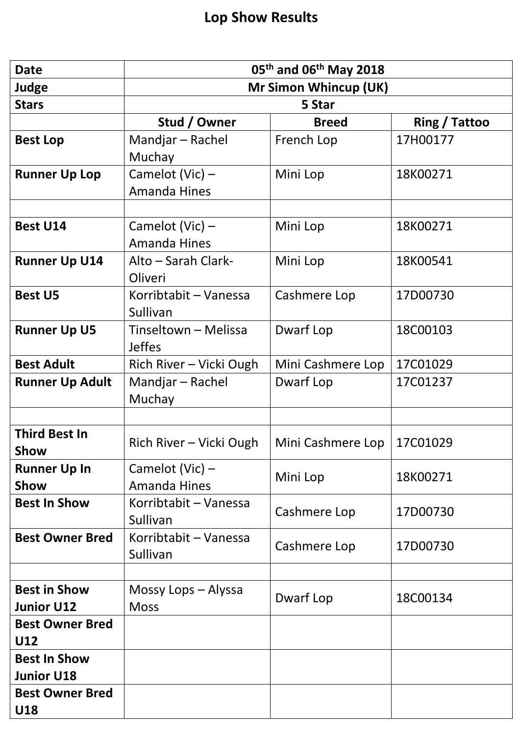| <b>Date</b>                              | 05 <sup>th</sup> and 06 <sup>th</sup> May 2018 |                   |               |
|------------------------------------------|------------------------------------------------|-------------------|---------------|
| <b>Judge</b>                             | <b>Mr Simon Whincup (UK)</b>                   |                   |               |
| <b>Stars</b>                             | 5 Star                                         |                   |               |
|                                          | Stud / Owner                                   | <b>Breed</b>      | Ring / Tattoo |
| <b>Best Lop</b>                          | Mandjar - Rachel                               | French Lop        | 17H00177      |
|                                          | Muchay                                         |                   |               |
| <b>Runner Up Lop</b>                     | Camelot (Vic) -                                | Mini Lop          | 18K00271      |
|                                          | <b>Amanda Hines</b>                            |                   |               |
|                                          |                                                |                   |               |
| <b>Best U14</b>                          | Camelot (Vic) -<br><b>Amanda Hines</b>         | Mini Lop          | 18K00271      |
| <b>Runner Up U14</b>                     | Alto - Sarah Clark-<br>Oliveri                 | Mini Lop          | 18K00541      |
| <b>Best U5</b>                           | Korribtabit - Vanessa<br>Sullivan              | Cashmere Lop      | 17D00730      |
| <b>Runner Up U5</b>                      | Tinseltown - Melissa<br><b>Jeffes</b>          | Dwarf Lop         | 18C00103      |
| <b>Best Adult</b>                        | Rich River - Vicki Ough                        | Mini Cashmere Lop | 17C01029      |
| <b>Runner Up Adult</b>                   | Mandjar - Rachel<br>Muchay                     | Dwarf Lop         | 17C01237      |
|                                          |                                                |                   |               |
| <b>Third Best In</b><br>Show             | Rich River - Vicki Ough                        | Mini Cashmere Lop | 17C01029      |
| <b>Runner Up In</b><br><b>Show</b>       | Camelot (Vic) $-$<br><b>Amanda Hines</b>       | Mini Lop          | 18K00271      |
| <b>Best In Show</b>                      | Korribtabit - Vanessa<br>Sullivan              | Cashmere Lop      | 17D00730      |
| <b>Best Owner Bred</b>                   | Korribtabit - Vanessa<br>Sullivan              | Cashmere Lop      | 17D00730      |
|                                          |                                                |                   |               |
| <b>Best in Show</b><br><b>Junior U12</b> | Mossy Lops - Alyssa<br><b>Moss</b>             | Dwarf Lop         | 18C00134      |
| <b>Best Owner Bred</b><br>U12            |                                                |                   |               |
| <b>Best In Show</b>                      |                                                |                   |               |
| <b>Junior U18</b>                        |                                                |                   |               |
| <b>Best Owner Bred</b><br>U18            |                                                |                   |               |